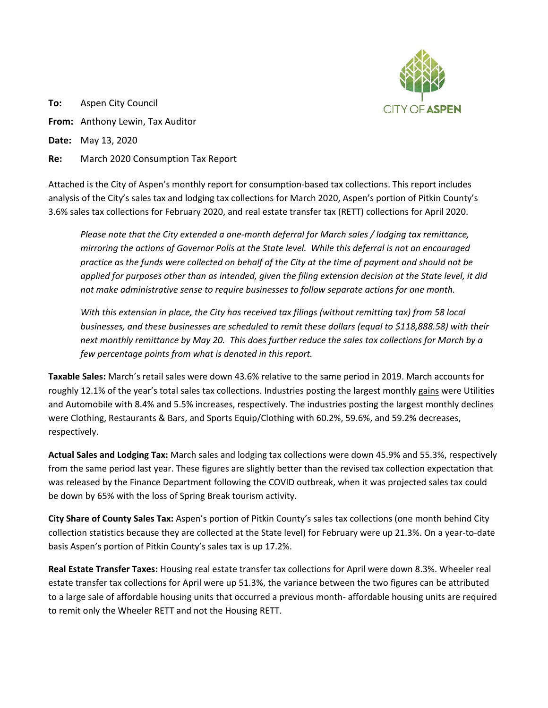

**To:** Aspen City Council **From:** Anthony Lewin, Tax Auditor **Date:** May 13, 2020

**Re:** March 2020 Consumption Tax Report

Attached is the City of Aspen's monthly report for consumption-based tax collections. This report includes analysis of the City's sales tax and lodging tax collections for March 2020, Aspen's portion of Pitkin County's 3.6% sales tax collections for February 2020, and real estate transfer tax (RETT) collections for April 2020.

*Please note that the City extended a one-month deferral for March sales / lodging tax remittance, mirroring the actions of Governor Polis at the State level. While this deferral is not an encouraged practice as the funds were collected on behalf of the City at the time of payment and should not be applied for purposes other than as intended, given the filing extension decision at the State level, it did not make administrative sense to require businesses to follow separate actions for one month.*

*With this extension in place, the City has received tax filings (without remitting tax) from 58 local businesses, and these businesses are scheduled to remit these dollars (equal to \$118,888.58) with their next monthly remittance by May 20. This does further reduce the sales tax collections for March by a few percentage points from what is denoted in this report.*

**Taxable Sales:** March's retail sales were down 43.6% relative to the same period in 2019. March accounts for roughly 12.1% of the year's total sales tax collections. Industries posting the largest monthly gains were Utilities and Automobile with 8.4% and 5.5% increases, respectively. The industries posting the largest monthly declines were Clothing, Restaurants & Bars, and Sports Equip/Clothing with 60.2%, 59.6%, and 59.2% decreases, respectively.

**Actual Sales and Lodging Tax:** March sales and lodging tax collections were down 45.9% and 55.3%, respectively from the same period last year. These figures are slightly better than the revised tax collection expectation that was released by the Finance Department following the COVID outbreak, when it was projected sales tax could be down by 65% with the loss of Spring Break tourism activity.

**City Share of County Sales Tax:** Aspen's portion of Pitkin County's sales tax collections (one month behind City collection statistics because they are collected at the State level) for February were up 21.3%. On a year-to-date basis Aspen's portion of Pitkin County's sales tax is up 17.2%.

**Real Estate Transfer Taxes:** Housing real estate transfer tax collections for April were down 8.3%. Wheeler real estate transfer tax collections for April were up 51.3%, the variance between the two figures can be attributed to a large sale of affordable housing units that occurred a previous month- affordable housing units are required to remit only the Wheeler RETT and not the Housing RETT.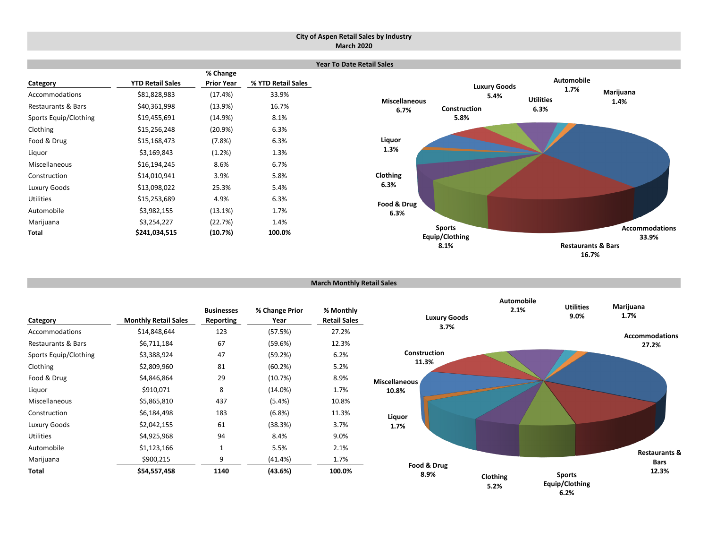#### **March Monthly Retail Sales**



**Category Monthly Retail Sales Businesses Reporting % Change Prior Year % Monthly Retail Sales** Accommodations \$14,848,644 123 (57.5%) 27.2% Restaurants & Bars \$6,711,184 67 (59.6%) 12.3% Sports Equip/Clothing  $$3,388,924$  47 (59.2%) 6.2% Clothing \$2,809,960 81 (60.2%) 5.2% Food & Drug 6.9% (10.7%) 8.9% Liquor \$910,071 8 (14.0%) 1.7% Miscellaneous \$5,865,810 437 (5.4%) 10.8% Construction \$6,184,498 183 (6.8%) 11.3% Luxury Goods 62,042,155 61 (38.3%) 3.7% Utilities \$4,925,968 94 8.4% 9.0% Automobile \$1,123,166 1 5.5% 2.1% Marijuana \$900,215 9 (41.4%) 1.7% **Total \$54,557,458 1140 (43.6%) 100.0% Clothing Food & Drug 8.9% Liquor 1.7% Miscellaneous 10.8% Construction 11.3% Luxury Goods 3.7% Automobile**

**6.2%**

**5.2%**

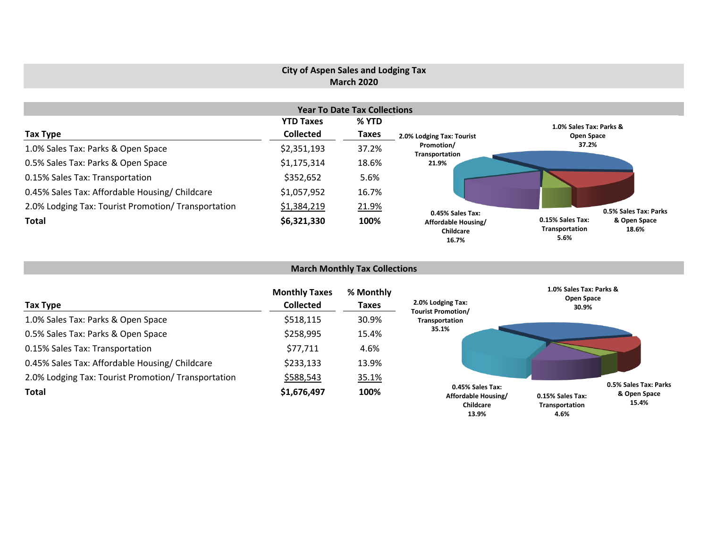## **City of Aspen Sales and Lodging Tax March 2020**

|                                                     |                  | <b>Year To Date Tax Collections</b> |                                           |                                                                     |
|-----------------------------------------------------|------------------|-------------------------------------|-------------------------------------------|---------------------------------------------------------------------|
|                                                     | <b>YTD Taxes</b> | % YTD                               |                                           | 1.0% Sales Tax: Parks &                                             |
| Tax Type                                            | <b>Collected</b> | <b>Taxes</b>                        | 2.0% Lodging Tax: Tourist                 | Open Space                                                          |
| 1.0% Sales Tax: Parks & Open Space                  | \$2,351,193      | 37.2%                               | Promotion/<br>Transportation              | 37.2%                                                               |
| 0.5% Sales Tax: Parks & Open Space                  | \$1,175,314      | 18.6%                               | 21.9%                                     |                                                                     |
| 0.15% Sales Tax: Transportation                     | \$352,652        | 5.6%                                |                                           |                                                                     |
| 0.45% Sales Tax: Affordable Housing/ Childcare      | \$1,057,952      | 16.7%                               |                                           |                                                                     |
| 2.0% Lodging Tax: Tourist Promotion/ Transportation | \$1,384,219      | 21.9%                               | 0.45% Sales Tax:                          | 0.5% Sales Tax: Parks                                               |
| Total                                               | \$6,321,330      | 100%                                | Affordable Housing/<br>Childcare<br>16.7% | 0.15% Sales Tax:<br>& Open Space<br>Transportation<br>18.6%<br>5.6% |

# **March Monthly Tax Collections**

| Tax Type                                            | <b>Monthly Taxes</b><br><b>Collected</b> | % Monthly<br>Taxes | 2.0% Lodging Tax:<br><b>Tourist Promotion/</b>                       | 1.0% Sales Tax: Parks &<br><b>Open Space</b><br>30.9% |                                                |
|-----------------------------------------------------|------------------------------------------|--------------------|----------------------------------------------------------------------|-------------------------------------------------------|------------------------------------------------|
| 1.0% Sales Tax: Parks & Open Space                  | \$518,115                                | 30.9%              | Transportation                                                       |                                                       |                                                |
| 0.5% Sales Tax: Parks & Open Space                  | \$258,995                                | 15.4%              | 35.1%                                                                |                                                       |                                                |
| 0.15% Sales Tax: Transportation                     | \$77,711                                 | 4.6%               |                                                                      |                                                       |                                                |
| 0.45% Sales Tax: Affordable Housing/ Childcare      | \$233,133                                | 13.9%              |                                                                      |                                                       |                                                |
| 2.0% Lodging Tax: Tourist Promotion/ Transportation | \$588,543                                | 35.1%              |                                                                      |                                                       |                                                |
| Total                                               | \$1,676,497                              | 100%               | 0.45% Sales Tax:<br>Affordable Housing/<br><b>Childcare</b><br>13.9% | 0.15% Sales Tax:<br>Transportation<br>4.6%            | 0.5% Sales Tax: Parks<br>& Open Space<br>15.4% |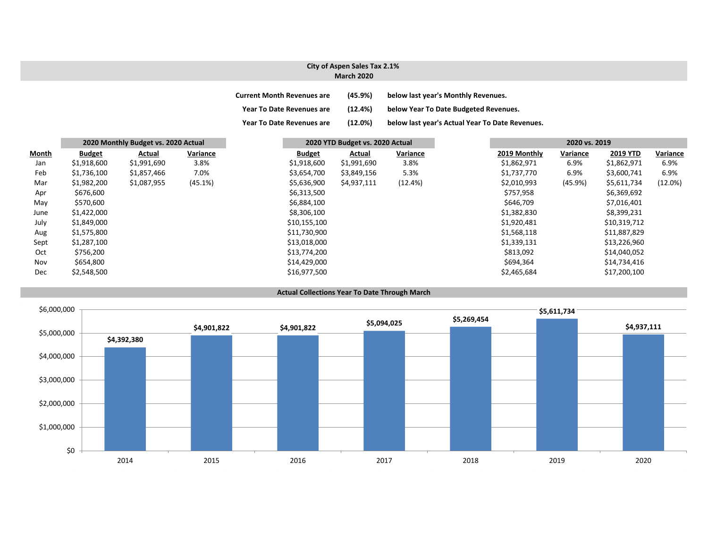## **City of Aspen Sales Tax 2.1% March 2020**

| <b>Current Month Revenues are</b> | (45.9%) | below last year's Monthly Revenues.             |
|-----------------------------------|---------|-------------------------------------------------|
| <b>Year To Date Revenues are</b>  | (12.4%) | below Year To Date Budgeted Revenues.           |
| <b>Year To Date Revenues are</b>  | (12.0%) | below last year's Actual Year To Date Revenues. |

|              | 2020 Monthly Budget vs. 2020 Actual |             |          | 2020 YTD Budget vs. 2020 Actual |               |          | 2020 vs. 2019 |              |          |                 |          |
|--------------|-------------------------------------|-------------|----------|---------------------------------|---------------|----------|---------------|--------------|----------|-----------------|----------|
| <b>Month</b> | <b>Budget</b>                       | Actual      | Variance | <b>Budget</b>                   | <b>Actual</b> | Variance |               | 2019 Monthly | Variance | <b>2019 YTD</b> | Variance |
| Jan          | \$1,918,600                         | \$1,991,690 | 3.8%     | \$1,918,600                     | \$1,991,690   | 3.8%     |               | \$1,862,971  | 6.9%     | \$1,862,971     | 6.9%     |
| Feb          | \$1,736,100                         | \$1,857,466 | 7.0%     | \$3,654,700                     | \$3,849,156   | 5.3%     |               | \$1,737,770  | 6.9%     | \$3,600,741     | 6.9%     |
| Mar          | \$1,982,200                         | \$1,087,955 | (45.1%)  | \$5,636,900                     | \$4,937,111   | (12.4%)  |               | \$2,010,993  | (45.9%)  | \$5,611,734     | (12.0%)  |
| Apr          | \$676,600                           |             |          | \$6,313,500                     |               |          |               | \$757,958    |          | \$6,369,692     |          |
| May          | \$570,600                           |             |          | \$6,884,100                     |               |          |               | \$646,709    |          | \$7,016,401     |          |
| June         | \$1,422,000                         |             |          | \$8,306,100                     |               |          |               | \$1,382,830  |          | \$8,399,231     |          |
| July         | \$1,849,000                         |             |          | \$10,155,100                    |               |          |               | \$1,920,481  |          | \$10,319,712    |          |
| Aug          | \$1,575,800                         |             |          | \$11,730,900                    |               |          |               | \$1,568,118  |          | \$11,887,829    |          |
| Sept         | \$1,287,100                         |             |          | \$13,018,000                    |               |          |               | \$1,339,131  |          | \$13,226,960    |          |
| Oct          | \$756,200                           |             |          | \$13,774,200                    |               |          |               | \$813,092    |          | \$14,040,052    |          |
| Nov          | \$654,800                           |             |          | \$14,429,000                    |               |          |               | \$694,364    |          | \$14,734,416    |          |
| Dec          | \$2,548,500                         |             |          | \$16,977,500                    |               |          |               | \$2,465,684  |          | \$17,200,100    |          |

**Actual Collections Year To Date Through March**

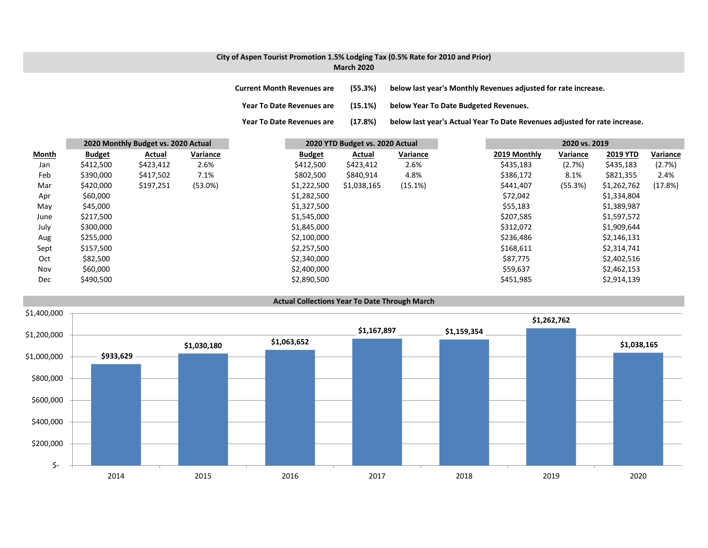### **City of Aspen Tourist Promotion 1.5% Lodging Tax (0.5% Rate for 2010 and Prior) March 2020**

**Current Month Revenues are (55.3%) below last year's Monthly Revenues adjusted for rate increase.**

**Year To Date Revenues are (15.1%) below Year To Date Budgeted Revenues.**

**Year To Date Revenues are (17.8%) below last year's Actual Year To Date Revenues adjusted for rate increase.**

|              |               | 2020 Monthly Budget vs. 2020 Actual |          |               | 2020 YTD Budget vs. 2020 Actual |          |  |              |          |                 |          |
|--------------|---------------|-------------------------------------|----------|---------------|---------------------------------|----------|--|--------------|----------|-----------------|----------|
| <b>Month</b> | <b>Budget</b> | Actual                              | Variance | <b>Budget</b> | Actual                          | Variance |  | 2019 Monthly | Variance | <b>2019 YTD</b> | Variance |
| Jan          | \$412,500     | \$423,412                           | 2.6%     | \$412,500     | \$423,412                       | 2.6%     |  | \$435,183    | (2.7%)   | \$435,183       | (2.7%)   |
| Feb          | \$390,000     | \$417,502                           | 7.1%     | \$802,500     | \$840,914                       | 4.8%     |  | \$386,172    | 8.1%     | \$821,355       | 2.4%     |
| Mar          | \$420,000     | \$197,251                           | (53.0%)  | \$1,222,500   | \$1,038,165                     | (15.1%)  |  | \$441,407    | (55.3%)  | \$1,262,762     | (17.8%)  |
| Apr          | \$60,000      |                                     |          | \$1,282,500   |                                 |          |  | \$72,042     |          | \$1,334,804     |          |
| May          | \$45,000      |                                     |          | \$1,327,500   |                                 |          |  | \$55,183     |          | \$1,389,987     |          |
| June         | \$217,500     |                                     |          | \$1,545,000   |                                 |          |  | \$207,585    |          | \$1,597,572     |          |
| July         | \$300,000     |                                     |          | \$1,845,000   |                                 |          |  | \$312,072    |          | \$1,909,644     |          |
| Aug          | \$255,000     |                                     |          | \$2,100,000   |                                 |          |  | \$236,486    |          | \$2,146,131     |          |
| Sept         | \$157,500     |                                     |          | \$2,257,500   |                                 |          |  | \$168,611    |          | \$2,314,741     |          |
| Oct          | \$82,500      |                                     |          | \$2,340,000   |                                 |          |  | \$87,775     |          | \$2,402,516     |          |
| Nov          | \$60,000      |                                     |          | \$2,400,000   |                                 |          |  | \$59,637     |          | \$2,462,153     |          |
| <b>Dec</b>   | \$490,500     |                                     |          | \$2,890,500   |                                 |          |  | \$451,985    |          | \$2,914,139     |          |

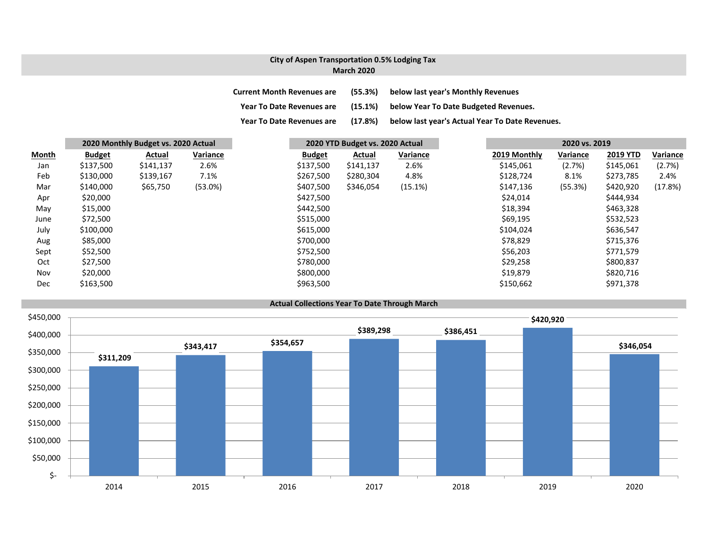### **City of Aspen Transportation 0.5% Lodging Tax March 2020**

| <b>Current Month Revenues are</b> | (55.3%) | below last year's Monthly Revenues              |
|-----------------------------------|---------|-------------------------------------------------|
| <b>Year To Date Revenues are</b>  | (15.1%) | below Year To Date Budgeted Revenues.           |
| <b>Year To Date Revenues are</b>  | (17.8%) | below last year's Actual Year To Date Revenues. |

|              | 2020 Monthly Budget vs. 2020 Actual |               |          | 2020 YTD Budget vs. 2020 Actual |               |          | 2020 vs. 2019 |              |          |                 |          |
|--------------|-------------------------------------|---------------|----------|---------------------------------|---------------|----------|---------------|--------------|----------|-----------------|----------|
| <b>Month</b> | <b>Budget</b>                       | <b>Actual</b> | Variance | <b>Budget</b>                   | <b>Actual</b> | Variance |               | 2019 Monthly | Variance | <b>2019 YTD</b> | Variance |
| Jan          | \$137,500                           | \$141,137     | 2.6%     | \$137,500                       | \$141,137     | 2.6%     |               | \$145,061    | (2.7%)   | \$145,061       | (2.7%)   |
| Feb          | \$130,000                           | \$139,167     | 7.1%     | \$267,500                       | \$280,304     | 4.8%     |               | \$128,724    | 8.1%     | \$273,785       | 2.4%     |
| Mar          | \$140,000                           | \$65,750      | (53.0%)  | \$407,500                       | \$346,054     | (15.1%)  |               | \$147,136    | (55.3%)  | \$420,920       | (17.8%)  |
| Apr          | \$20,000                            |               |          | \$427,500                       |               |          |               | \$24,014     |          | \$444,934       |          |
| May          | \$15,000                            |               |          | \$442,500                       |               |          |               | \$18,394     |          | \$463,328       |          |
| June         | \$72,500                            |               |          | \$515,000                       |               |          |               | \$69,195     |          | \$532,523       |          |
| July         | \$100,000                           |               |          | \$615,000                       |               |          |               | \$104,024    |          | \$636,547       |          |
| Aug          | \$85,000                            |               |          | \$700,000                       |               |          |               | \$78,829     |          | \$715,376       |          |
| Sept         | \$52,500                            |               |          | \$752,500                       |               |          |               | \$56,203     |          | \$771,579       |          |
| Oct          | \$27,500                            |               |          | \$780,000                       |               |          |               | \$29,258     |          | \$800,837       |          |
| Nov          | \$20,000                            |               |          | \$800,000                       |               |          |               | \$19,879     |          | \$820,716       |          |
| <b>Dec</b>   | \$163,500                           |               |          | \$963,500                       |               |          |               | \$150,662    |          | \$971,378       |          |



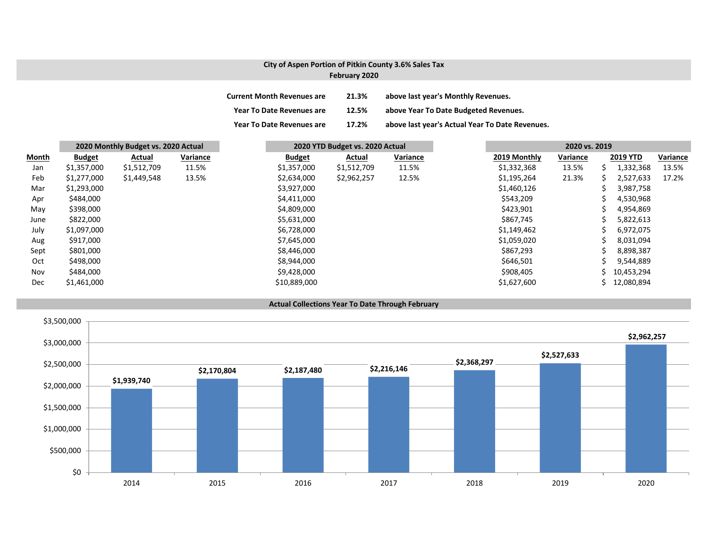# **City of Aspen Portion of Pitkin County 3.6% Sales Tax**

# **February 2020**

| <b>Current Month Revenues are</b> | 21.3% | above last year's Monthly Revenues.             |
|-----------------------------------|-------|-------------------------------------------------|
| <b>Year To Date Revenues are</b>  | 12.5% | above Year To Date Budgeted Revenues.           |
| <b>Year To Date Revenues are</b>  | 17.2% | above last year's Actual Year To Date Revenues. |

|       |               | 2020 Monthly Budget vs. 2020 Actual |          |  | 2020 YTD Budget vs. 2020 Actual |             |          | 2020 vs. 2019 |          |    |                 |          |
|-------|---------------|-------------------------------------|----------|--|---------------------------------|-------------|----------|---------------|----------|----|-----------------|----------|
| Month | <b>Budget</b> | Actual                              | Variance |  | <b>Budget</b>                   | Actual      | Variance | 2019 Monthly  | Variance |    | <b>2019 YTD</b> | Variance |
| Jan   | \$1,357,000   | \$1,512,709                         | 11.5%    |  | \$1,357,000                     | \$1,512,709 | 11.5%    | \$1,332,368   | 13.5%    | S  | 1,332,368       | 13.5%    |
| Feb   | \$1,277,000   | \$1,449,548                         | 13.5%    |  | \$2,634,000                     | \$2,962,257 | 12.5%    | \$1,195,264   | 21.3%    |    | 2,527,633       | 17.2%    |
| Mar   | \$1,293,000   |                                     |          |  | \$3,927,000                     |             |          | \$1,460,126   |          |    | 3,987,758       |          |
| Apr   | \$484,000     |                                     |          |  | \$4,411,000                     |             |          | \$543,209     |          |    | 4,530,968       |          |
| May   | \$398,000     |                                     |          |  | \$4,809,000                     |             |          | \$423,901     |          |    | 4,954,869       |          |
| June  | \$822,000     |                                     |          |  | \$5,631,000                     |             |          | \$867,745     |          |    | 5,822,613       |          |
| July  | \$1,097,000   |                                     |          |  | \$6,728,000                     |             |          | \$1,149,462   |          |    | 6,972,075       |          |
| Aug   | \$917,000     |                                     |          |  | \$7,645,000                     |             |          | \$1,059,020   |          |    | 8,031,094       |          |
| Sept  | \$801,000     |                                     |          |  | \$8,446,000                     |             |          | \$867,293     |          |    | 8,898,387       |          |
| Oct   | \$498,000     |                                     |          |  | \$8,944,000                     |             |          | \$646,501     |          |    | 9,544,889       |          |
| Nov   | \$484,000     |                                     |          |  | \$9,428,000                     |             |          | \$908,405     |          |    | 10,453,294      |          |
| Dec   | \$1,461,000   |                                     |          |  | \$10,889,000                    |             |          | \$1,627,600   |          | S. | 12,080,894      |          |



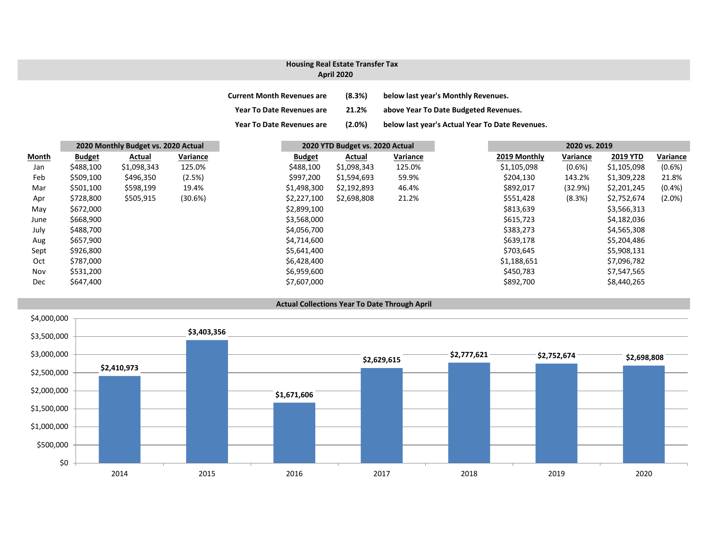### **Housing Real Estate Transfer Tax**

### **April 2020**

| <b>Current Month Revenues are</b> | (8.3%) | below last year's Monthly Revenues. |
|-----------------------------------|--------|-------------------------------------|
|                                   |        |                                     |

**Year To Date Revenues are 21.2% above Year To Date Budgeted Revenues.**

**Year To Date Revenues are (2.0%) below last year's Actual Year To Date Revenues.**

|              |               | 2020 Monthly Budget vs. 2020 Actual |          |               | 2020 YTD Budget vs. 2020 Actual |          |  |              | 2020 vs. 2019 |                 |  |
|--------------|---------------|-------------------------------------|----------|---------------|---------------------------------|----------|--|--------------|---------------|-----------------|--|
| <b>Month</b> | <b>Budget</b> | Actual                              | Variance | <b>Budget</b> | Actual                          | Variance |  | 2019 Monthly | Variance      | <b>2019 YTD</b> |  |
| Jan          | \$488,100     | \$1,098,343                         | 125.0%   | \$488,100     | \$1,098,343                     | 125.0%   |  | \$1,105,098  | $(0.6\%)$     | \$1,105,098     |  |
| Feb          | \$509,100     | \$496,350                           | (2.5%)   | \$997,200     | \$1,594,693                     | 59.9%    |  | \$204,130    | 143.2%        | \$1,309,228     |  |
| Mar          | \$501,100     | \$598,199                           | 19.4%    | \$1,498,300   | \$2,192,893                     | 46.4%    |  | \$892,017    | (32.9%)       | \$2,201,245     |  |
| Apr          | \$728,800     | \$505,915                           | (30.6%)  | \$2,227,100   | \$2,698,808                     | 21.2%    |  | \$551,428    | (8.3%)        | \$2,752,674     |  |
| May          | \$672,000     |                                     |          | \$2,899,100   |                                 |          |  | \$813,639    |               | \$3,566,313     |  |
| June         | \$668,900     |                                     |          | \$3,568,000   |                                 |          |  | \$615,723    |               | \$4,182,036     |  |
| July         | \$488,700     |                                     |          | \$4,056,700   |                                 |          |  | \$383,273    |               | \$4,565,308     |  |
| Aug          | \$657,900     |                                     |          | \$4,714,600   |                                 |          |  | \$639,178    |               | \$5,204,486     |  |
| Sept         | \$926,800     |                                     |          | \$5,641,400   |                                 |          |  | \$703,645    |               | \$5,908,131     |  |
| Oct          | \$787,000     |                                     |          | \$6,428,400   |                                 |          |  | \$1,188,651  |               | \$7,096,782     |  |
| Nov          | \$531,200     |                                     |          | \$6,959,600   |                                 |          |  | \$450,783    |               | \$7,547,565     |  |
| Dec          | \$647,400     |                                     |          | \$7,607,000   |                                 |          |  | \$892,700    |               | \$8,440,265     |  |



## **Actual Collections Year To Date Through April**